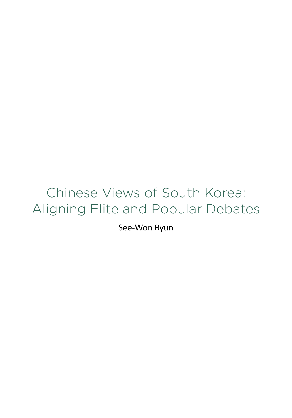# Chinese Views of South Korea: Aligning Elite and Popular Debates

See-Won Byun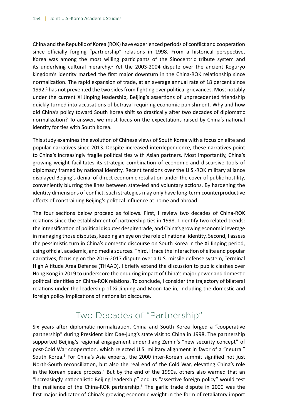China and the Republic of Korea (ROK) have experienced periods of conflict and cooperation since officially forging "partnership" relations in 1998. From a historical perspective, Korea was among the most willing participants of the Sinocentric tribute system and its underlying cultural hierarchy.<sup>1</sup> Yet the 2003-2004 dispute over the ancient Koguryo kingdom's identity marked the first major downturn in the China-ROK relationship since normalization. The rapid expansion of trade, at an average annual rate of 18 percent since 1992, $^2$  has not prevented the two sides from fighting over political grievances. Most notably under the current Xi Jinping leadership, Beijing's assertions of unprecedented friendship quickly turned into accusations of betrayal requiring economic punishment. Why and how did China's policy toward South Korea shift so drastically after two decades of diplomatic normalization? To answer, we must focus on the expectations raised by China's national identity for ties with South Korea.

This study examines the evolution of Chinese views of South Korea with a focus on elite and popular narratives since 2013. Despite increased interdependence, these narratives point to China's increasingly fragile political ties with Asian partners. Most importantly, China's growing weight facilitates its strategic combination of economic and discursive tools of diplomacy framed by national identity. Recent tensions over the U.S.-ROK military alliance displayed Beijing's denial of direct economic retaliation under the cover of public hostility, conveniently blurring the lines between state-led and voluntary actions. By hardening the identity dimensions of conflict, such strategies may only have long-term counterproductive effects of constraining Beijing's political influence at home and abroad.

The four sections below proceed as follows. First, I review two decades of China-ROK relations since the establishment of partnership ties in 1998. I identify two related trends: the intensification of political disputes despite trade, and China's growing economic leverage in managing those disputes, keeping an eye on the role of national identity. Second, I assess the pessimistic turn in China's domestic discourse on South Korea in the Xi Jinping period, using official, academic, and media sources. Third, I trace the interaction of elite and popular narratives, focusing on the 2016-2017 dispute over a U.S. missile defense system, Terminal High Altitude Area Defense (THAAD). I briefly extend the discussion to public clashes over Hong Kong in 2019 to underscore the enduring impact of China's major power and domestic political identities on China-ROK relations. To conclude, I consider the trajectory of bilateral relations under the leadership of Xi Jinping and Moon Jae-in, including the domestic and foreign policy implications of nationalist discourse.

# Two Decades of "Partnership"

Six years after diplomatic normalization, China and South Korea forged a "cooperative partnership" during President Kim Dae-jung's state visit to China in 1998. The partnership supported Beijing's regional engagement under Jiang Zemin's "new security concept" of post-Cold War cooperation, which rejected U.S. military alignment in favor of a "neutral" South Korea.<sup>3</sup> For China's Asia experts, the 2000 inter-Korean summit signified not just North-South reconciliation, but also the real end of the Cold War, elevating China's role in the Korean peace process.<sup>4</sup> But by the end of the 1990s, others also warned that an "increasingly nationalistic Beijing leadership" and its "assertive foreign policy" would test the resilience of the China-ROK partnership.<sup>5</sup> The garlic trade dispute in 2000 was the first major indicator of China's growing economic weight in the form of retaliatory import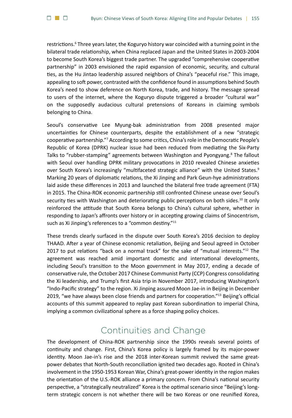restrictions.<sup>6</sup> Three years later, the Koguryo history war coincided with a turning point in the bilateral trade relationship, when China replaced Japan and the United States in 2003-2004 to become South Korea's biggest trade partner. The upgraded "comprehensive cooperative partnership" in 2003 envisioned the rapid expansion of economic, security, and cultural ties, as the Hu Jintao leadership assured neighbors of China's "peaceful rise." This image, appealing to soft power, contrasted with the confidence found in assumptions behind South Korea's need to show deference on North Korea, trade, and history. The message spread to users of the internet, where the Koguryo dispute triggered a broader "cultural war" on the supposedly audacious cultural pretensions of Koreans in claiming symbols belonging to China.

 $\begin{array}{c} \square \end{array} \begin{array}{c} \blacksquare \end{array} \begin{array}{c} \square \end{array}$ 

Seoul's conservative Lee Myung-bak administration from 2008 presented major uncertainties for Chinese counterparts, despite the establishment of a new "strategic cooperative partnership."<sup>7</sup> According to some critics, China's role in the Democratic People's Republic of Korea (DPRK) nuclear issue had been reduced from mediating the Six-Party Talks to "rubber-stamping" agreements between Washington and Pyongyang.<sup>8</sup> The fallout with Seoul over handling DPRK military provocations in 2010 revealed Chinese anxieties over South Korea's increasingly "multifaceted strategic alliance" with the United States.<sup>9</sup> Marking 20 years of diplomatic relations, the Xi Jinping and Park Geun-hye administrations laid aside these differences in 2013 and launched the bilateral free trade agreement (FTA) in 2015. The China-ROK economic partnership still confronted Chinese unease over Seoul's security ties with Washington and deteriorating public perceptions on both sides.<sup>10</sup> It only reinforced the attitude that South Korea belongs to China's cultural sphere, whether in responding to Japan's affronts over history or in accepting growing claims of Sinocentrism, such as Xi Jinping's references to a "common destiny."<sup>11</sup>

These trends clearly surfaced in the dispute over South Korea's 2016 decision to deploy THAAD. After a year of Chinese economic retaliation, Beijing and Seoul agreed in October 2017 to put relations "back on a normal track" for the sake of "mutual interests."<sup>12</sup> The agreement was reached amid important domestic and international developments, including Seoul's transition to the Moon government in May 2017, ending a decade of conservative rule, the October 2017 Chinese Communist Party (CCP) Congress consolidating the Xi leadership, and Trump's first Asia trip in November 2017, introducing Washington's "Indo-Pacific strategy" to the region. Xi Jinping assured Moon Jae-in in Beijing in December 2019, "we have always been close friends and partners for cooperation."13 Beijing's official accounts of this summit appeared to replay past Korean subordination to imperial China, implying a common civilizational sphere as a force shaping policy choices.

## Continuities and Change

The development of China-ROK partnership since the 1990s reveals several points of continuity and change. First, China's Korea policy is largely framed by its major-power identity. Moon Jae-in's rise and the 2018 inter-Korean summit revived the same greatpower debates that North-South reconciliation ignited two decades ago. Rooted in China's involvement in the 1950-1953 Korean War, China's great-power identity in the region makes the orientation of the U.S.-ROK alliance a primary concern. From China's national security perspective, a "strategically neutralized" Korea is the optimal scenario since "Beijing's longterm strategic concern is not whether there will be two Koreas or one reunified Korea,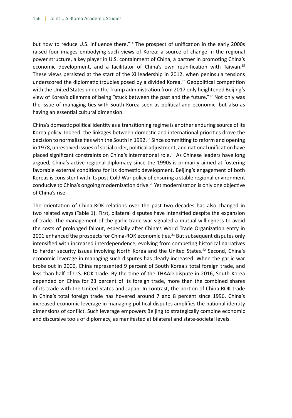but how to reduce U.S. influence there."<sup>14</sup> The prospect of unification in the early 2000s raised four images embodying such views of Korea: a source of change in the regional power structure, a key player in U.S. containment of China, a partner in promoting China's economic development, and a facilitator of China's own reunification with Taiwan.15 These views persisted at the start of the Xi leadership in 2012, when peninsula tensions underscored the diplomatic troubles posed by a divided Korea.16 Geopolitical competition with the United States under the Trump administration from 2017 only heightened Beijing's view of Korea's dilemma of being "stuck between the past and the future."17 Not only was the issue of managing ties with South Korea seen as political and economic, but also as having an essential cultural dimension.

China's domestic political identity as a transitioning regime is another enduring source of its Korea policy. Indeed, the linkages between domestic and international priorities drove the decision to normalize ties with the South in 1992.<sup>18</sup> Since committing to reform and opening in 1978, unresolved issues of social order, political adjustment, and national unification have placed significant constraints on China's international role.19 As Chinese leaders have long argued, China's active regional diplomacy since the 1990s is primarily aimed at fostering favorable external conditions for its domestic development. Beijing's engagement of both Koreas is consistent with its post-Cold War policy of ensuring a stable regional environment conducive to China's ongoing modernization drive.<sup>20</sup> Yet modernization is only one objective of China's rise.

The orientation of China-ROK relations over the past two decades has also changed in two related ways (Table 1). First, bilateral disputes have intensified despite the expansion of trade. The management of the garlic trade war signaled a mutual willingness to avoid the costs of prolonged fallout, especially after China's World Trade Organization entry in 2001 enhanced the prospects for China-ROK economic ties.<sup>21</sup> But subsequent disputes only intensified with increased interdependence, evolving from competing historical narratives to harder security issues involving North Korea and the United States.<sup>22</sup> Second, China's economic leverage in managing such disputes has clearly increased. When the garlic war broke out in 2000, China represented 9 percent of South Korea's total foreign trade, and less than half of U.S.-ROK trade. By the time of the THAAD dispute in 2016, South Korea depended on China for 23 percent of its foreign trade, more than the combined shares of its trade with the United States and Japan. In contrast, the portion of China-ROK trade in China's total foreign trade has hovered around 7 and 8 percent since 1996. China's increased economic leverage in managing political disputes amplifies the national identity dimensions of conflict. Such leverage empowers Beijing to strategically combine economic and discursive tools of diplomacy, as manifested at bilateral and state-societal levels.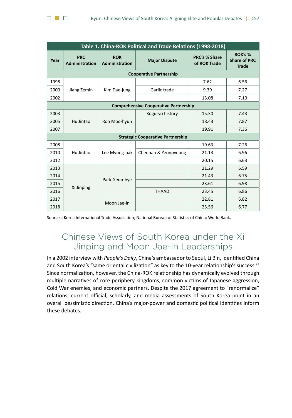

| Table 1. China-ROK Political and Trade Relations (1998-2018) |                                     |                              |                      |                               |                                                |
|--------------------------------------------------------------|-------------------------------------|------------------------------|----------------------|-------------------------------|------------------------------------------------|
| Year                                                         | <b>PRC</b><br><b>Administration</b> | <b>ROK</b><br>Administration | <b>Major Dispute</b> | PRC's % Share<br>of ROK Trade | ROK's %<br><b>Share of PRC</b><br><b>Trade</b> |
| <b>Cooperative Partnership</b>                               |                                     |                              |                      |                               |                                                |
| 1998                                                         | Jiang Zemin                         | Kim Dae-jung                 |                      | 7.62                          | 6.56                                           |
| 2000                                                         |                                     |                              | Garlic trade         | 9.39                          | 7.27                                           |
| 2002                                                         |                                     |                              |                      | 13.08                         | 7.10                                           |
| <b>Comprehensive Cooperative Partnership</b>                 |                                     |                              |                      |                               |                                                |
| 2003                                                         | Hu Jintao                           | Roh Moo-hyun                 | Koguryo history      | 15.30                         | 7.43                                           |
| 2005                                                         |                                     |                              |                      | 18.43                         | 7.87                                           |
| 2007                                                         |                                     |                              |                      | 19.91                         | 7.36                                           |
| <b>Strategic Cooperative Partnership</b>                     |                                     |                              |                      |                               |                                                |
| 2008                                                         | Hu Jintao                           | Lee Myung-bak                |                      | 19.63                         | 7.26                                           |
| 2010                                                         |                                     |                              | Cheonan & Yeonpyeong | 21.13                         | 6.96                                           |
| 2012                                                         |                                     |                              |                      | 20.15                         | 6.63                                           |
| 2013                                                         | Xi Jinping                          | Park Geun-hye                |                      | 21.29                         | 6.59                                           |
| 2014                                                         |                                     |                              |                      | 21.43                         | 6.75                                           |
| 2015                                                         |                                     |                              |                      | 23.61                         | 6.98                                           |
| 2016                                                         |                                     |                              | <b>THAAD</b>         | 23.45                         | 6.86                                           |
| 2017                                                         |                                     | Moon Jae-in                  |                      | 22.81                         | 6.82                                           |
| 2018                                                         |                                     |                              |                      | 23.56                         | 6.77                                           |

Sources: Korea International Trade Association; National Bureau of Statistics of China; World Bank.

## Chinese Views of South Korea under the Xi Jinping and Moon Jae-in Leaderships

In a 2002 interview with *People's Daily*, China's ambassador to Seoul, Li Bin, identified China and South Korea's "same oriental civilization" as key to the 10-year relationship's success.<sup>23</sup> Since normalization, however, the China-ROK relationship has dynamically evolved through multiple narratives of core-periphery kingdoms, common victims of Japanese aggression, Cold War enemies, and economic partners. Despite the 2017 agreement to "renormalize" relations, current official, scholarly, and media assessments of South Korea point in an overall pessimistic direction. China's major-power and domestic political identities inform these debates.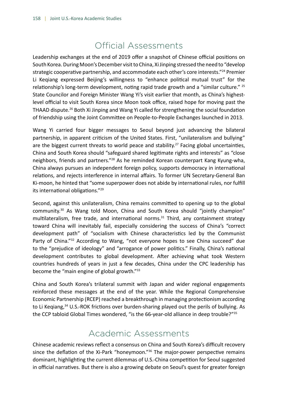## Official Assessments

Leadership exchanges at the end of 2019 offer a snapshot of Chinese official positions on South Korea. During Moon's December visit to China, Xi Jinping stressed the need to "develop strategic cooperative partnership, and accommodate each other's core interests."24 Premier Li Keqiang expressed Beijing's willingness to "enhance political mutual trust" for the relationship's long-term development, noting rapid trade growth and a "similar culture." <sup>25</sup> State Councilor and Foreign Minister Wang Yi's visit earlier that month, as China's highestlevel official to visit South Korea since Moon took office, raised hope for moving past the THAAD dispute.26 Both Xi Jinping and Wang Yi called for strengthening the social foundation of friendship using the Joint Committee on People-to-People Exchanges launched in 2013.

Wang Yi carried four bigger messages to Seoul beyond just advancing the bilateral partnership, in apparent criticism of the United States. First, "unilateralism and bullying" are the biggest current threats to world peace and stability.<sup>27</sup> Facing global uncertainties, China and South Korea should "safeguard shared legitimate rights and interests" as "close neighbors, friends and partners."28 As he reminded Korean counterpart Kang Kyung-wha, China always pursues an independent foreign policy, supports democracy in international relations, and rejects interference in internal affairs. To former UN Secretary-General Ban Ki-moon, he hinted that "some superpower does not abide by international rules, nor fulfill its international obligations."29

Second, against this unilateralism, China remains committed to opening up to the global community.30 As Wang told Moon, China and South Korea should "jointly champion" multilateralism, free trade, and international norms.<sup>31</sup> Third, any containment strategy toward China will inevitably fail, especially considering the success of China's "correct development path" of "socialism with Chinese characteristics led by the Communist Party of China."<sup>32</sup> According to Wang, "not everyone hopes to see China succeed" due to the "prejudice of ideology" and "arrogance of power politics." Finally, China's national development contributes to global development. After achieving what took Western countries hundreds of years in just a few decades, China under the CPC leadership has become the "main engine of global growth."33

China and South Korea's trilateral summit with Japan and wider regional engagements reinforced these messages at the end of the year. While the Regional Comprehensive Economic Partnership (RCEP) reached a breakthrough in managing protectionism according to Li Keqiang,<sup>34</sup> U.S.-ROK frictions over burden-sharing played out the perils of bullying. As the CCP tabloid Global Times wondered, "is the 66-year-old alliance in deep trouble?"<sup>35</sup>

## Academic Assessments

Chinese academic reviews reflect a consensus on China and South Korea's difficult recovery since the deflation of the Xi-Park "honeymoon."36 The major-power perspective remains dominant, highlighting the current dilemmas of U.S.-China competition for Seoul suggested in official narratives. But there is also a growing debate on Seoul's quest for greater foreign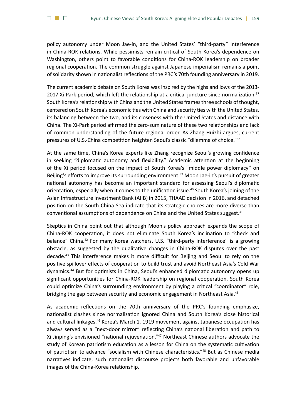$\Box$ 

policy autonomy under Moon Jae-in, and the United States' "third-party" interference in China-ROK relations. While pessimists remain critical of South Korea's dependence on Washington, others point to favorable conditions for China-ROK leadership on broader regional cooperation. The common struggle against Japanese imperialism remains a point of solidarity shown in nationalist reflections of the PRC's 70th founding anniversary in 2019.

The current academic debate on South Korea was inspired by the highs and lows of the 2013- 2017 Xi-Park period, which left the relationship at a critical juncture since normalization. $37$ South Korea's relationship with China and the United States frames three schools of thought, centered on South Korea's economic ties with China and security ties with the United States, its balancing between the two, and its closeness with the United States and distance with China. The Xi-Park period affirmed the zero-sum nature of these two relationships and lack of common understanding of the future regional order. As Zhang Huizhi argues, current pressures of U.S.-China competition heighten Seoul's classic "dilemma of choice."38

At the same time, China's Korea experts like Zhang recognize Seoul's growing confidence in seeking "diplomatic autonomy and flexibility." Academic attention at the beginning of the Xi period focused on the impact of South Korea's "middle power diplomacy" on Beijing's efforts to improve its surrounding environment.<sup>39</sup> Moon Jae-in's pursuit of greater national autonomy has become an important standard for assessing Seoul's diplomatic orientation, especially when it comes to the unification issue.<sup>40</sup> South Korea's joining of the Asian Infrastructure Investment Bank (AIIB) in 2015, THAAD decision in 2016, and detached position on the South China Sea indicate that its strategic choices are more diverse than conventional assumptions of dependence on China and the United States suggest.<sup>41</sup>

Skeptics in China point out that although Moon's policy approach expands the scope of China-ROK cooperation, it does not eliminate South Korea's inclination to "check and balance" China.<sup>42</sup> For many Korea watchers, U.S. "third-party interference" is a growing obstacle, as suggested by the qualitative changes in China-ROK disputes over the past decade.43 This interference makes it more difficult for Beijing and Seoul to rely on the positive spillover effects of cooperation to build trust and avoid Northeast Asia's Cold War dynamics.44 But for optimists in China, Seoul's enhanced diplomatic autonomy opens up significant opportunities for China-ROK leadership on regional cooperation. South Korea could optimize China's surrounding environment by playing a critical "coordinator" role, bridging the gap between security and economic engagement in Northeast Asia.45

As academic reflections on the 70th anniversary of the PRC's founding emphasize, nationalist clashes since normalization ignored China and South Korea's close historical and cultural linkages.<sup>46</sup> Korea's March 1, 1919 movement against Japanese occupation has always served as a "next-door mirror" reflecting China's national liberation and path to Xi Jinping's envisioned "national rejuvenation."47 Northeast Chinese authors advocate the study of Korean patriotism education as a lesson for China on the systematic cultivation of patriotism to advance "socialism with Chinese characteristics."48 But as Chinese media narratives indicate, such nationalist discourse projects both favorable and unfavorable images of the China-Korea relationship.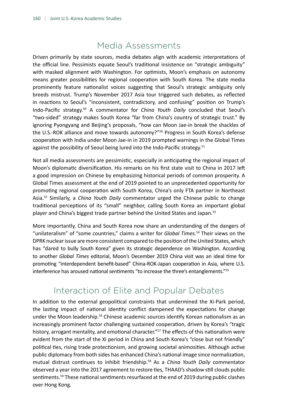#### Media Assessments

Driven primarily by state sources, media debates align with academic interpretations of the official line. Pessimists equate Seoul's traditional insistence on "strategic ambiguity" with masked alignment with Washington. For optimists, Moon's emphasis on autonomy means greater possibilities for regional cooperation with South Korea. The state media prominently feature nationalist voices suggesting that Seoul's strategic ambiguity only breeds mistrust. Trump's November 2017 Asia tour triggered such debates, as reflected in reactions to Seoul's "inconsistent, contradictory, and confusing" position on Trump's Indo-Pacific strategy.49 A commentator for *China Youth Daily* concluded that Seoul's "two-sided" strategy makes South Korea "far from China's country of strategic trust." By ignoring Pyongyang and Beijing's proposals, "how can Moon Jae-in break the shackles of the U.S.-ROK alliance and move towards autonomy?"<sup>50</sup> Progress in South Korea's defense cooperation with India under Moon Jae-in in 2019 prompted warnings in the Global Times against the possibility of Seoul being lured into the Indo-Pacific strategy.<sup>51</sup>

Not all media assessments are pessimistic, especially in anticipating the regional impact of Moon's diplomatic diversification. His remarks on his first state visit to China in 2017 left a good impression on Chinese by emphasizing historical periods of common prosperity. A Global Times assessment at the end of 2019 pointed to an unprecedented opportunity for promoting regional cooperation with South Korea, China's only FTA partner in Northeast Asia.52 Similarly, a *China Youth Daily* commentator urged the Chinese public to change traditional perceptions of its "small" neighbor, calling South Korea an important global player and China's biggest trade partner behind the United States and Japan.<sup>53</sup>

More importantly, China and South Korea now share an understanding of the dangers of "unilateralism" of "some countries," claims a writer for *Global Times.*54 Their views on the DPRK nuclear issue are more consistent compared to the position of the United States, which has "dared to bully South Korea" given its strategic dependence on Washington. According to another *Global Times* editorial, Moon's December 2019 China visit was an ideal time for promoting "interdependent benefit-based" China-ROK-Japan cooperation in Asia, where U.S. interference has aroused national sentiments "to increase the three's entanglements."<sup>55</sup>

## Interaction of Elite and Popular Debates

In addition to the external geopolitical constraints that undermined the Xi-Park period, the lasting impact of national identity conflict dampened the expectations for change under the Moon leadership.<sup>56</sup> Chinese academic sources identify Korean nationalism as an increasingly prominent factor challenging sustained cooperation, driven by Korea's "tragic history, arrogant mentality, and emotional character."<sup>57</sup> The effects of this nationalism were evident from the start of the Xi period in China and South Korea's "close but not friendly" political ties, rising trade protectionism, and growing societal animosities. Although active public diplomacy from both sides has enhanced China's national image since normalization, mutual distrust continues to inhibit friendship.58 As a *China Youth Daily* commentator observed a year into the 2017 agreement to restore ties, THAAD's shadow still clouds public sentiments.59 These national sentiments resurfaced at the end of 2019 during public clashes over Hong Kong.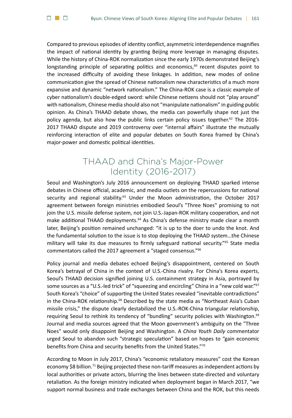Compared to previous episodes of identity conflict, asymmetric interdependence magnifies the impact of national identity by granting Beijing more leverage in managing disputes. While the history of China-ROK normalization since the early 1970s demonstrated Beijing's longstanding principle of separating politics and economics, $60$  recent disputes point to the increased difficulty of avoiding these linkages. In addition, new modes of online communication give the spread of Chinese nationalism new characteristics of a much more expansive and dynamic "network nationalism." The China-ROK case is a classic example of cyber nationalism's double-edged sword: while Chinese netizens should not "play around" with nationalism, Chinese media should also not "manipulate nationalism" in guiding public opinion. As China's THAAD debate shows, the media can powerfully shape not just the policy agenda, but also how the public links certain policy issues together.<sup>62</sup> The 2016-2017 THAAD dispute and 2019 controversy over "internal affairs" illustrate the mutually reinforcing interaction of elite and popular debates on South Korea framed by China's major-power and domestic political identities.

 $\Box$ 

## THAAD and China's Major-Power Identity (2016-2017)

Seoul and Washington's July 2016 announcement on deploying THAAD sparked intense debates in Chinese official, academic, and media outlets on the repercussions for national security and regional stability. $63$  Under the Moon administration, the October 2017 agreement between foreign ministries embodied Seoul's "Three Noes" promising to not join the U.S. missile defense system, not join U.S.-Japan-ROK military cooperation, and not make additional THAAD deployments.<sup>64</sup> As China's defense ministry made clear a month later, Beijing's position remained unchanged: "it is up to the doer to undo the knot. And the fundamental solution to the issue is to stop deploying the THAAD system…the Chinese military will take its due measures to firmly safeguard national security."<sup>65</sup> State media commentators called the 2017 agreement a "staged consensus."66

Policy journal and media debates echoed Beijing's disappointment, centered on South Korea's betrayal of China in the context of U.S.-China rivalry. For China's Korea experts, Seoul's THAAD decision signified joining U.S. containment strategy in Asia, portrayed by some sources as a "U.S.-led trick" of "squeezing and encircling" China in a "new cold war."<sup>67</sup> South Korea's "choice" of supporting the United States revealed "inevitable contradictions" in the China-ROK relationship.<sup>68</sup> Described by the state media as "Northeast Asia's Cuban missile crisis," the dispute clearly destabilized the U.S.-ROK-China triangular relationship, requiring Seoul to rethink its tendency of "bundling" security policies with Washington.<sup>69</sup> Journal and media sources agreed that the Moon government's ambiguity on the "Three Noes" would only disappoint Beijing and Washington. A *China Youth Daily* commentator urged Seoul to abandon such "strategic speculation" based on hopes to "gain economic benefits from China and security benefits from the United States."70

According to Moon in July 2017, China's "economic retaliatory measures" cost the Korean economy \$8 billion.71 Beijing projected these non-tariff measures as independent actions by local authorities or private actors, blurring the lines between state-directed and voluntary retaliation. As the foreign ministry indicated when deployment began in March 2017, "we support normal business and trade exchanges between China and the ROK, but this needs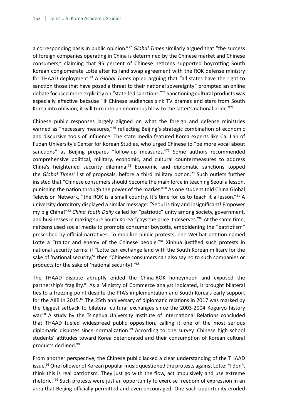a corresponding basis in public opinion."72 *Global Times* similarly argued that "the success of foreign companies operating in China is determined by the Chinese market and Chinese consumers," claiming that 95 percent of Chinese netizens supported boycotting South Korean conglomerate Lotte after its land swap agreement with the ROK defense ministry for THAAD deployment.73 A *Global Times* op-ed arguing that "all states have the right to sanction those that have posed a threat to their national sovereignty" prompted an online debate focused more explicitly on "state-led sanctions."<sup>74</sup> Sanctioning cultural products was especially effective because "if Chinese audiences sink TV dramas and stars from South Korea into oblivion, it will turn into an enormous blow to the latter's national pride."75

Chinese public responses largely aligned on what the foreign and defense ministries warned as "necessary measures,"<sup>76</sup> reflecting Beijing's strategic combination of economic and discursive tools of influence. The state media featured Korea experts like Cai Jian of Fudan University's Center for Korean Studies, who urged Chinese to "be more vocal about sanctions" as Beijing prepares "follow-up measures."77 Some authors recommended comprehensive political, military, economic, and cultural countermeasures to address China's heightened security dilemma.<sup>78</sup> Economic and diplomatic sanctions topped the *Global Times'* list of proposals, before a third military option.79 Such outlets further insisted that "Chinese consumers should become the main force in teaching Seoul a lesson, punishing the nation through the power of the market."<sup>80</sup> As one student told China Global Television Network, "the ROK is a small country. It's time for us to teach it a lesson."<sup>81</sup> A university dormitory displayed a similar message: "Seoul is tiny and insignificant! Empower my big China!"82 *China Youth Daily* called for "patriotic" unity among society, government, and businesses in making sure South Korea "pays the price it deserves."<sup>83</sup> At the same time, netizens used social media to promote consumer boycotts, emboldening the "patriotism" prescribed by official narratives. To mobilize public protests, one WeChat petition named Lotte a "traitor and enemy of the Chinese people."84 Xinhua justified such protests in national security terms: if "Lotte can exchange land with the South Korean military for the sake of 'national security,'" then "Chinese consumers can also say no to such companies or products for the sake of 'national security!'"85

The THAAD dispute abruptly ended the China-ROK honeymoon and exposed the partnership's fragility.86 As a Ministry of Commerce analyst indicated, it brought bilateral ties to a freezing point despite the FTA's implementation and South Korea's early support for the AIIB in 2015.<sup>87</sup> The 25th anniversary of diplomatic relations in 2017 was marked by the biggest setback to bilateral cultural exchanges since the 2003-2004 Koguryo history war.<sup>88</sup> A study by the Tsinghua University Institute of International Relations concluded that THAAD fueled widespread public opposition, calling it one of the most serious diplomatic disputes since normalization. $89$  According to one survey, Chinese high school students' attitudes toward Korea deteriorated and their consumption of Korean cultural products declined.90

From another perspective, the Chinese public lacked a clear understanding of the THAAD issue.<sup>91</sup> One follower of Korean popular music questioned the protests against Lotte: "I don't think this is real patriotism. They just go with the flow, act impulsively and use extreme rhetoric."92 Such protests were just an opportunity to exercise freedom of expression in an area that Beijing officially permitted and even encouraged. One such opportunity eroded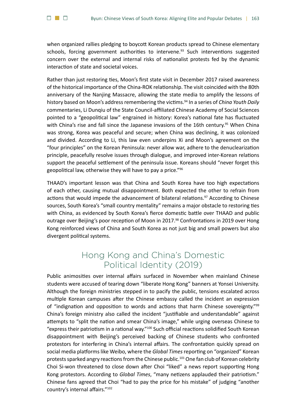

when organized rallies pledging to boycott Korean products spread to Chinese elementary schools, forcing government authorities to intervene. $93$  Such interventions suggested concern over the external and internal risks of nationalist protests fed by the dynamic interaction of state and societal voices.

Rather than just restoring ties, Moon's first state visit in December 2017 raised awareness of the historical importance of the China-ROK relationship. The visit coincided with the 80th anniversary of the Nanjing Massacre, allowing the state media to amplify the lessons of history based on Moon's address remembering the victims.94 In a series of *China Youth Daily* commentaries, Li Dunqiu of the State Council-affiliated Chinese Academy of Social Sciences pointed to a "geopolitical law" engrained in history: Korea's national fate has fluctuated with China's rise and fall since the Japanese invasions of the 16th century.<sup>95</sup> When China was strong, Korea was peaceful and secure; when China was declining, it was colonized and divided. According to Li, this law even underpins Xi and Moon's agreement on the "four principles" on the Korean Peninsula: never allow war, adhere to the denuclearization principle, peacefully resolve issues through dialogue, and improved inter-Korean relations support the peaceful settlement of the peninsula issue. Koreans should "never forget this geopolitical law, otherwise they will have to pay a price."96

THAAD's important lesson was that China and South Korea have too high expectations of each other, causing mutual disappointment. Both expected the other to refrain from actions that would impede the advancement of bilateral relations.<sup>97</sup> According to Chinese sources, South Korea's "small country mentality" remains a major obstacle to restoring ties with China, as evidenced by South Korea's fierce domestic battle over THAAD and public outrage over Beijing's poor reception of Moon in 2017.<sup>98</sup> Confrontations in 2019 over Hong Kong reinforced views of China and South Korea as not just big and small powers but also divergent political systems.

#### Hong Kong and China's Domestic Political Identity (2019)

Public animosities over internal affairs surfaced in November when mainland Chinese students were accused of tearing down "liberate Hong Kong" banners at Yonsei University. Although the foreign ministries stepped in to pacify the public, tensions escalated across multiple Korean campuses after the Chinese embassy called the incident an expression of "indignation and opposition to words and actions that harm Chinese sovereignty."99 China's foreign ministry also called the incident "justifiable and understandable" against attempts to "split the nation and smear China's image," while urging overseas Chinese to "express their patriotism in a rational way."<sup>100</sup> Such official reactions solidified South Korean disappointment with Beijing's perceived backing of Chinese students who confronted protestors for interfering in China's internal affairs. The confrontation quickly spread on social media platforms like Weibo, where the *Global Times* reporting on "organized" Korean protests sparked angry reactions from the Chinese public.101 One fan club of Korean celebrity Choi Si-won threatened to close down after Choi "liked" a news report supporting Hong Kong protestors. According to *Global Times*, "many netizens applauded their patriotism." Chinese fans agreed that Choi "had to pay the price for his mistake" of judging "another country's internal affairs."102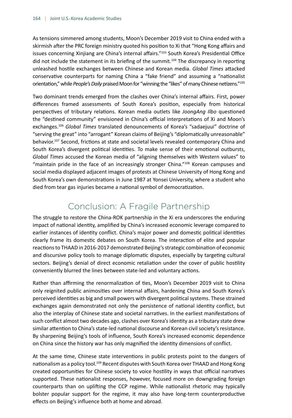As tensions simmered among students, Moon's December 2019 visit to China ended with a skirmish after the PRC foreign ministry quoted his position to Xi that "Hong Kong affairs and issues concerning Xinjiang are China's internal affairs."<sup>103</sup> South Korea's Presidential Office did not include the statement in its briefing of the summit.<sup>104</sup> The discrepancy in reporting unleashed hostile exchanges between Chinese and Korean media. *Global Times* attacked conservative counterparts for naming China a "fake friend" and assuming a "nationalist orientation," while *People's Daily* praised Moon for "winning the "likes" of many Chinese netizens."105

Two dominant trends emerged from the clashes over China's internal affairs. First, power differences framed assessments of South Korea's position, especially from historical perspectives of tributary relations. Korean media outlets like *JoongAng Ilbo* questioned the "destined community" envisioned in China's official interpretations of Xi and Moon's exchanges.106 *Global Times* translated denouncements of Korea's "sadaejuui" doctrine of "serving the great" into "arrogant" Korean claims of Beijing's "diplomatically unreasonable" behavior.107 Second, frictions at state and societal levels revealed contemporary China and South Korea's divergent political identities. To make sense of their emotional outbursts, *Global Times* accused the Korean media of "aligning themselves with Western values" to "maintain pride in the face of an increasingly stronger China."<sup>108</sup> Korean campuses and social media displayed adjacent images of protests at Chinese University of Hong Kong and South Korea's own demonstrations in June 1987 at Yonsei University, where a student who died from tear gas injuries became a national symbol of democratization.

## Conclusion: A Fragile Partnership

The struggle to restore the China-ROK partnership in the Xi era underscores the enduring impact of national identity, amplified by China's increased economic leverage compared to earlier instances of identity conflict. China's major power and domestic political identities clearly frame its domestic debates on South Korea. The interaction of elite and popular reactions to THAAD in 2016-2017 demonstrated Beijing's strategic combination of economic and discursive policy tools to manage diplomatic disputes, especially by targeting cultural sectors. Beijing's denial of direct economic retaliation under the cover of public hostility conveniently blurred the lines between state-led and voluntary actions.

Rather than affirming the renormalization of ties, Moon's December 2019 visit to China only reignited public animosities over internal affairs, hardening China and South Korea's perceived identities as big and small powers with divergent political systems. These strained exchanges again demonstrated not only the persistence of national identity conflict, but also the interplay of Chinese state and societal narratives. In the earliest manifestations of such conflict almost two decades ago, clashes over Korea's identity as a tributary state drew similar attention to China's state-led national discourse and Korean civil society's resistance. By sharpening Beijing's tools of influence, South Korea's increased economic dependence on China since the history war has only magnified the identity dimensions of conflict.

At the same time, Chinese state interventions in public protests point to the dangers of nationalism as a policy tool.<sup>109</sup> Recent disputes with South Korea over THAAD and Hong Kong created opportunities for Chinese society to voice hostility in ways that official narratives supported. These nationalist responses, however, focused more on downgrading foreign counterparts than on uplifting the CCP regime. While nationalist rhetoric may typically bolster popular support for the regime, it may also have long-term counterproductive effects on Beijing's influence both at home and abroad.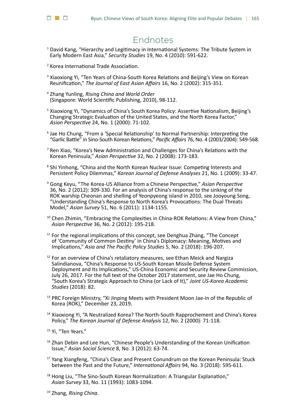

## Endnotes

- <sup>1</sup> David Kang, "Hierarchy and Legitimacy in International Systems: The Tribute System in Early Modern East Asia," *Security Studies* 19, No. 4 (2010): 591-622.
- 2 Korea International Trade Association.
- <sup>3</sup> Xiaoxiong Yi, "Ten Years of China-South Korea Relations and Beijing's View on Korean Reunification," *The Journal of East Asian Affairs* 16, No. 2 (2002): 315-351.
- <sup>4</sup> Zhang Yunling, *Rising China and World Order*  (Singapore: World Scientific Publishing, 2010), 98-112.
- <sup>5</sup> Xiaoxiong Yi, "Dynamics of China's South Korea Policy: Assertive Nationalism, Beijing's Changing Strategic Evaluation of the United States, and the North Korea Factor," *Asian Perspective* 24, No. 1 (2000): 71-102.
- <sup>6</sup> Jae Ho Chung, "From a 'Special Relationship' to Normal Partnership: Interpreting the "Garlic Battle" in Sino-South Korean Relations," *Pacific Affairs* 76, No. 4 (2003/2004): 549-568.
- <sup>7</sup> Ren Xiao, "Korea's New Administration and Challenges for China's Relations with the Korean Peninsula," *Asian Perspective* 32, No. 2 (2008): 173-183.
- <sup>8</sup> Shi Yinhong, "China and the North Korean Nuclear Issue: Competing Interests and Persistent Policy Dilemmas," *Korean Journal of Defense Analyses* 21, No. 1 (2009): 33-47.
- <sup>9</sup> Gong Keyu, "The Korea-US Alliance from a Chinese Perspective," *Asian Perspective* 36, No. 2 (2012): 309-330. For an analysis of China's response to the sinking of the ROK warship Cheonan and shelling of Yeonpyeong island in 2010, see Jooyoung Song, "Understanding China's Response to North Korea's Provocations: The Dual Threats Model," *Asian Survey* 51, No. 6 (2011): 1134-1155.
- $10$  Chen Zhimin, "Embracing the Complexities in China-ROK Relations: A View from China," *Asian Perspective* 36, No. 2 (2012): 195-218.
- $11$  For the regional implications of this concept, see Denghua Zhang, "The Concept of 'Community of Common Destiny' in China's Diplomacy: Meaning, Motives and Implications," *Asia and The Pacific Policy Studies* 5, No. 2 (2018): 196-207.
- $12$  For an overview of China's retaliatory measures, see Ethan Meick and Nargiza Salindianova, "China's Response to US-South Korean Missile Defense System Deployment and Its Implications," US-China Economic and Security Review Commission, July 26, 2017. For the full text of the October 2017 statement, see Jae Ho Chung, "South Korea's Strategic Approach to China (or Lack of It)," *Joint US-Korea Academic Studies* (2018): 82.
- <sup>13</sup> PRC Foreign Ministry, "Xi Jinping Meets with President Moon Jae-in of the Republic of Korea (ROK)," December 23, 2019.
- <sup>14</sup> Xiaoxiong Yi, "A Neutralized Korea? The North-South Rapprochement and China's Korea Policy," *The Korean Journal of Defense Analysis* 12, No. 2 (2000): 71-118.
- <sup>15</sup> Yi, "Ten Years."
- <sup>16</sup> Zhan Debin and Lee Hun, "Chinese People's Understanding of the Korean Unification Issue," *Asian Social Science* 8, No. 3 (2012): 63-74.
- <sup>17</sup> Yang Xiangfeng, "China's Clear and Present Conundrum on the Korean Peninsula: Stuck between the Past and the Future," *International Affairs* 94, No. 3 (2018): 595-611.
- <sup>18</sup> Hong Liu, "The Sino-South Korean Normalization: A Triangular Explanation," *Asian Survey* 33, No. 11 (1993): 1083-1094.
- 19 Zhang, *Rising China*.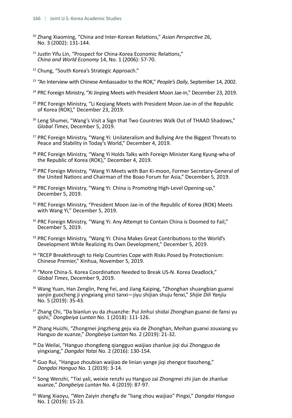- <sup>20</sup> Zhang Xiaoming, "China and Inter-Korean Relations," *Asian Perspective* 26, No. 3 (2002): 131-144.
- <sup>21</sup> Justin Yifu Lin, "Prospect for China-Korea Economic Relations," *China and World Economy* 14, No. 1 (2006): 57-70.
- 22 Chung, "South Korea's Strategic Approach."
- 23 "An Interview with Chinese Ambassador to the ROK," *People's Daily*, September 14, 2002.
- <sup>24</sup> PRC Foreign Ministry, "Xi Jinping Meets with President Moon Jae-in," December 23, 2019.
- <sup>25</sup> PRC Foreign Ministry, "Li Keqiang Meets with President Moon Jae-in of the Republic of Korea (ROK)," December 23, 2019.
- <sup>26</sup> Leng Shumei, "Wang's Visit a Sign that Two Countries Walk Out of THAAD Shadows," *Global Times*, December 5, 2019.
- <sup>27</sup> PRC Foreign Ministry, "Wang Yi: Unilateralism and Bullying Are the Biggest Threats to Peace and Stability in Today's World," December 4, 2019.
- <sup>28</sup> PRC Foreign Ministry, "Wang Yi Holds Talks with Foreign Minister Kang Kyung-wha of the Republic of Korea (ROK)," December 4, 2019.
- <sup>29</sup> PRC Foreign Ministry, "Wang Yi Meets with Ban Ki-moon, Former Secretary-General of the United Nations and Chairman of the Boao Forum for Asia," December 5, 2019.
- <sup>30</sup> PRC Foreign Ministry, "Wang Yi: China is Promoting High-Level Opening-up," December 5, 2019.
- <sup>31</sup> PRC Foreign Ministry, "President Moon Jae-in of the Republic of Korea (ROK) Meets with Wang Yi," December 5, 2019.
- <sup>32</sup> PRC Foreign Ministry, "Wang Yi: Any Attempt to Contain China is Doomed to Fail," December 5, 2019.
- <sup>33</sup> PRC Foreign Ministry, "Wang Yi: China Makes Great Contributions to the World's Development While Realizing Its Own Development," December 5, 2019.
- 34 "RCEP Breakthrough to Help Countries Cope with Risks Posed by Protectionism: Chinese Premier," Xinhua, November 5, 2019.
- <sup>35</sup> "More China-S. Korea Coordination Needed to Break US-N. Korea Deadlock," *Global Times*, December 9, 2019.
- <sup>36</sup> Wang Yuan, Han Zenglin, Peng Fei, and Jiang Kaiping, "Zhonghan shuangbian guanxi yanjin guocheng ji yingxiang yinzi tanxi—jiyu shijian shuju fenxi," *Shijie Dili Yanjiu* No. 5 (2019): 35-43.
- $37$  Zhang Chi, "Da bianlun yu da zhuanzhe: Pui Jinhui shidai Zhonghan guanxi de fansi yu qishi," *Dongbeiya Luntan* No. 1 (2018): 111-126.
- <sup>38</sup> Zhang Huizhi, "Zhongmei jingzheng geju xia de Zhonghan, Meihan guanxi zouxiang yu Hanguo de xuanze," *Dongbeiya Luntan* No. 2 (2019): 21-32.
- <sup>39</sup> Da Weilai, "Hanguo zhongdeng qiangguo waijiao zhanlue jiqi dui Zhongguo de yingxiang," *Dangdai Yatai* No. 2 (2016): 130-154.
- <sup>40</sup> Guo Rui, "Hanguo zhoubian waijiao de linian yange jiqi zhengce tiaozheng," *Dangdai Hanguo* No. 1 (2019): 3-14.
- <sup>41</sup> Song Wenzhi, "Tixi yali, weixie renzhi yu Hanguo zai Zhongmei zhi jian de zhanlue xuanze," *Dongbeiya Luntan* No. 4 (2019): 87-97.
- <sup>42</sup> Wang Xiaoyu, "Wen Zaiyin zhengfu de "liang zhou waijiao" Pingxi," *Dangdai Hanguo*  No. 1 (2019): 15-23.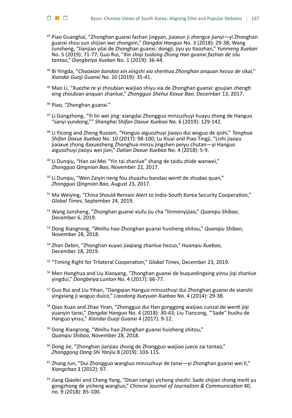

- <sup>43</sup> Piao Guanghai, "Zhonghan guanxi fazhan jingyan, jiaoxun ji zhengce jianyi—yi Zhonghan guanxi shou sun shijian wei zhongxin," *Dangdai Hanguo* No. 3 (2018): 29-38; Wang Junsheng, "Jianjiao yilai de Zhonghan guanxi: dongji, jiyu yu tiaozhan," *Yunmeng Xuekan*  No. 5 (2019): 71-77; Guo Rui, "*Xin shiqi tuidong Zhong Han guanxi fazhan de silu tantao*," *Dongbeiya Xuekan* No. 1 (2019): 36-44.
- <sup>44</sup> Bi Yingda, "*Chaoxian bandao xin xingshi xia shenhua Zhonghan anquan hezuo de* sikai," *Xiandai Guoji Guanxi* No. 10 (2019): 35-41.
- <sup>45</sup> Mao Li, "Xuezhe re yi zhoubian waijiao shiyu xia de Zhonghan guanxi: goujian zhengti xing zhoubian anquan zhanlue," *Zhongguo Shehui Kexue Bao*, December 13, 2017.
- 46 Piao, "Zhonghan guanxi."
- <sup>47</sup> Li Gongzhong, "Yi lin wei jing: xiangdai Zhongguo minzuzhuyi huayu zhong de Hanguo "sanyi yundong,"" *Shanghai Shifan Daxue Xuebao* No. 6 (2019): 129-142.
- <sup>48</sup> Li Yicong and Zheng Ruozen, "Hanguo aiguozhuyi jiaoyu dui woguo de qishi," *Tonghua Shifan Daxue Xuebao* No. 10 (2017): 98-100; Lu Xiuyi and Piao Tingji, "Lishi jiaoyu jiaoxue zhong daxuesheng Zhonghua minzu jingshen peiyu chutan—yi Hanguo aiguozhuyi jiaoyu wei jian," *Dalian Daxue Xuebao* No. 4 (2018): 5-9.
- <sup>49</sup> Li Dunqiu, "Han zai Mei "Yin tai zhanlue" shang de taidu zhide wanwei," *Zhongguo Qingnian Bao*, November 22, 2017.
- <sup>50</sup> Li Dunqiu, "Wen Zaiyin neng fou zhuazhu bandao wenti de zhudao quan," *Zhongguo Qingnian Bao*, August 23, 2017.
- <sup>51</sup> Ma Weiying, "China Should Remain Alert to India-South Korea Security Cooperation," *Global Times*, September 24, 2019.
- <sup>52</sup> Wang Junsheng, "Zhonghan guanxi xiufu jiu cha "linmenyijiao," *Quanqiu Shibao*, December 6, 2019.
- <sup>53</sup> Dong Xiangrong, "Weihu hao Zhonghan guanxi huisheng shitou," *Quanqiu Shibao*, November 28, 2018.
- <sup>54</sup> Zhan Debin, "Zhonghan xuyao jiaqiang zhanlue hezuo," *Huanqiu Xuebao*, December 18, 2019.
- <sup>55</sup> "Timing Right for Trilateral Cooperation," *Global Times*, December 23, 2019.
- <sup>56</sup> Men Honghua and Liu Xiaoyang, "Zhonghan guanxi de buquedingxing yinsu jiqi zhanlue yingdui," *Dongbeiya Luntan* No. 4 (2017): 66-77.
- <sup>57</sup> Guo Rui and Liu Yihan, "Dangqian Hanguo minzuzhuyi dui Zhonghan guanxi de xianshi yingxiang ji woguo duice," *Liaodong Xueyuan Xuebao* No. 4 (2014): 29-38.
- <sup>58</sup> Qiao Xuan and Zhao Yiran, "Zhongguo dui Han gonggong waijiao cunzai de wenti jiqi yuanyin tanxi," *Dangdai Hanguo* No. 4 (2018): 30-43; Liu Tiancong, "'Sade" bushu de Hanguo yinsu," *Xiandai Guoji Guanxi* 4 (2017): 9-12.
- <sup>59</sup> Dong Xiangrong, "Weihu hao Zhonghan guanxi huisheng shitou," *Quanqiu Shibao*, November 28, 2018.
- <sup>60</sup> Dong Jie, "Zhonghan jianjiao zhong de Zhongguo waijiao juece zai tantao," *Zhonggong Dang Shi Yanjiu* 8 (2019): 103-115.
- <sup>61</sup> Zhang Jun, "Dui Zhongguo wangluo minzuzhuyi de tanxi-yi Zhonghan guanxi wei li," *Xiangchao* 3 (2012): 97.
- $62$  Jiang Qiaolei and Cheng Yang, "Disan cengci yicheng shezhi: Sade shijian zhong meiti yu gongzhong de yicheng wangluo," *Chinese Journal of Journalism & Communication* 40, no. 9 (2018): 85-100.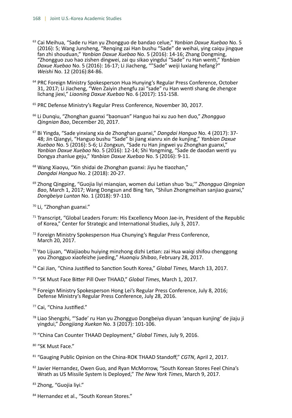- <sup>63</sup> Cai Meihua, "Sade ru Han yu Zhongguo de bandao celue," *Yanbian Daxue Xuebao* No. 5 (2016): 5; Wang Junsheng, "Renqing zai Han bushu "Sade" de weihai, ying caiqu jingque fan zhi shouduan," *Yanbian Daxue Xuebao* No. 5 (2016): 14-16; Zhang Dongming, "Zhongguo zuo hao zishen dingwei, zai qu sikao yingdui "Sade" ru Han wenti," *Yanbian Daxue Xuebao* No. 5 (2016): 16-17; Li Jiacheng, ""Sade" weiji luxiang hefang?" *Weishi* No. 12 (2016):84-86.
- <sup>64</sup> PRC Foreign Ministry Spokesperson Hua Hunying's Regular Press Conference, October 31, 2017; Li Jiacheng, "Wen Zaiyin zhengfu zai "sade" ru Han wenti shang de zhengce lichang jiexi," *Liaoning Daxue Xuebao* No. 6 (2017): 151-158.
- 65 PRC Defense Ministry's Regular Press Conference, November 30, 2017.
- <sup>66</sup> Li Dunqiu, "Zhonghan guanxi "baonuan" Hanguo hai xu zuo hen duo," *Zhongguo Qingnian Bao*, December 20, 2017.
- <sup>67</sup> Bi Yingda, "Sade yinxiang xia de Zhonghan guanxi," *Dangdai Hanguo* No. 4 (2017): 37- 48; Jin Qiangyi, "Hanguo bushu "Sade" bi jiang xianru xin de kunjing," *Yanbian Daxue Xuebao* No. 5 (2016): 5-6; Li Zongxun, "Sade ru Han jingwei yu Zhonghan guanxi," *Yanbian Daxue Xuebao* No. 5 (2016): 12-14; Shi Yongming, "Sade de daodan wenti yu Dongya zhanlue geju," *Yanbian Daxue Xuebao* No. 5 (2016): 9-11.
- <sup>68</sup> Wang Xiaoyu, "Xin shidai de Zhonghan guanxi: Jiyu he tiaozhan," *Dangdai Hanguo* No. 2 (2018): 20-27.
- <sup>69</sup> Zhong Qingping, "Guojia liyi mianqian, women dui Letian shuo 'bu,'" *Zhongguo Qingnian Bao*, March 1, 2017; Wang Dongsun and Bing Yan, "Shilun Zhongmeihan sanjiao guanxi," *Dongbeiya Luntan* No. 1 (2018): 97-110.
- 70 Li, "Zhonghan guanxi."
- <sup>71</sup> Transcript, "Global Leaders Forum: His Excellency Moon Jae-in, President of the Republic of Korea," Center for Strategic and International Studies, July 3, 2017.
- <sup>72</sup> Foreign Ministry Spokesperson Hua Chunying's Regular Press Conference, March 20, 2017.
- <sup>73</sup> Yao Lijuan, "Waijiaobu huiying minzhong dizhi Letian: zai Hua waiqi shifou chenggong you Zhongguo xiaofeizhe jueding," *Huanqiu Shibao*, February 28, 2017.
- 74 Cai Jian, "China Justified to Sanction South Korea," *Global Times,* March 13, 2017.
- 75 "SK Must Face Bitter Pill Over THAAD," *Global Times*, March 1, 2017.
- <sup>76</sup> Foreign Ministry Spokesperson Hong Lei's Regular Press Conference, July 8, 2016; Defense Ministry's Regular Press Conference, July 28, 2016.
- 77 Cai, "China Justified."
- <sup>78</sup> Liao Shengzhi, "'Sade' ru Han yu Zhongguo Dongbeiya diyuan 'anquan kunjing' de jiaju ji yingdui," *Dongjiang Xuekan* No. 3 (2017): 101-106.
- 79 "China Can Counter THAAD Deployment," *Global Times*, July 9, 2016.
- 80 "SK Must Face."
- 81 "Gauging Public Opinion on the China-ROK THAAD Standoff," *CGTN*, April 2, 2017.
- 82 Javier Hernandez, Owen Guo, and Ryan McMorrow, "South Korean Stores Feel China's Wrath as US Missile System Is Deployed," *The New York Times*, March 9, 2017.
- 83 Zhong, "Guojia liyi."
- 84 Hernandez et al., "South Korean Stores."